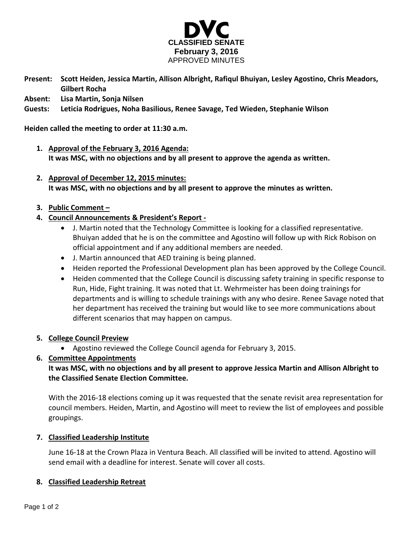

- **Present: Scott Heiden, Jessica Martin, Allison Albright, Rafiqul Bhuiyan, Lesley Agostino, Chris Meadors, Gilbert Rocha**
- **Absent: Lisa Martin, Sonja Nilsen**
- **Guests: Leticia Rodrigues, Noha Basilious, Renee Savage, Ted Wieden, Stephanie Wilson**

**Heiden called the meeting to order at 11:30 a.m.**

- **1. Approval of the February 3, 2016 Agenda: It was MSC, with no objections and by all present to approve the agenda as written.**
- **2. Approval of December 12, 2015 minutes: It was MSC, with no objections and by all present to approve the minutes as written.**

### **3. Public Comment –**

- **4. Council Announcements & President's Report -**
	- J. Martin noted that the Technology Committee is looking for a classified representative. Bhuiyan added that he is on the committee and Agostino will follow up with Rick Robison on official appointment and if any additional members are needed.
	- J. Martin announced that AED training is being planned.
	- Heiden reported the Professional Development plan has been approved by the College Council.
	- Heiden commented that the College Council is discussing safety training in specific response to Run, Hide, Fight training. It was noted that Lt. Wehrmeister has been doing trainings for departments and is willing to schedule trainings with any who desire. Renee Savage noted that her department has received the training but would like to see more communications about different scenarios that may happen on campus.
- **5. College Council Preview**
	- Agostino reviewed the College Council agenda for February 3, 2015.

### **6. Committee Appointments**

## **It was MSC, with no objections and by all present to approve Jessica Martin and Allison Albright to the Classified Senate Election Committee.**

With the 2016-18 elections coming up it was requested that the senate revisit area representation for council members. Heiden, Martin, and Agostino will meet to review the list of employees and possible groupings.

### **7. Classified Leadership Institute**

June 16-18 at the Crown Plaza in Ventura Beach. All classified will be invited to attend. Agostino will send email with a deadline for interest. Senate will cover all costs.

### **8. Classified Leadership Retreat**